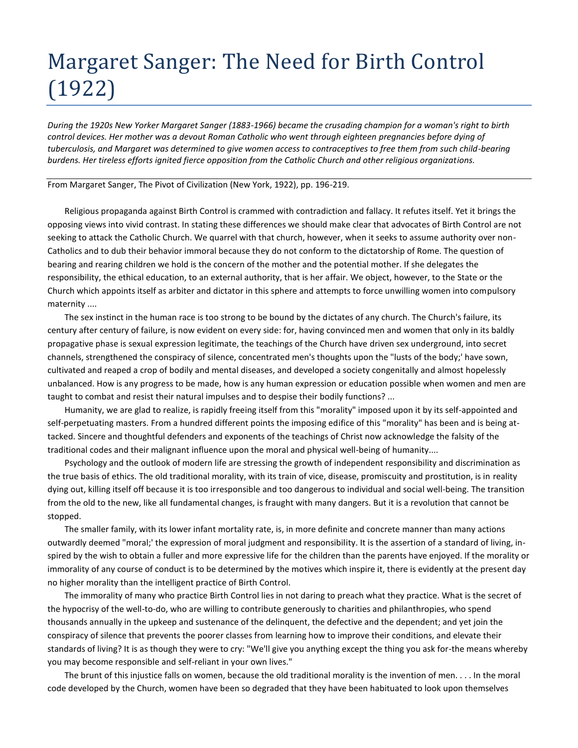## Margaret Sanger: The Need for Birth Control (1922)

*During the 1920s New Yorker Margaret Sanger (1883-1966) became the crusading champion for a woman's right to birth control devices. Her mother was a devout Roman Catholic who went through eighteen pregnancies before dying of tuberculosis, and Margaret was determined to give women access to contraceptives to free them from such child-bearing burdens. Her tireless efforts ignited fierce opposition from the Catholic Church and other religious organizations.*

From Margaret Sanger, The Pivot of Civilization (New York, 1922), pp. 196-219.

Religious propaganda against Birth Control is crammed with contradiction and fallacy. It refutes itself. Yet it brings the opposing views into vivid contrast. In stating these differences we should make clear that advocates of Birth Control are not seeking to attack the Catholic Church. We quarrel with that church, however, when it seeks to assume authority over non-Catholics and to dub their behavior immoral because they do not conform to the dictatorship of Rome. The question of bearing and rearing children we hold is the concern of the mother and the potential mother. If she delegates the responsibility, the ethical education, to an external authority, that is her affair. We object, however, to the State or the Church which appoints itself as arbiter and dictator in this sphere and attempts to force unwilling women into compulsory maternity ....

The sex instinct in the human race is too strong to be bound by the dictates of any church. The Church's failure, its century after century of failure, is now evident on every side: for, having convinced men and women that only in its baldly propagative phase is sexual expression legitimate, the teachings of the Church have driven sex underground, into secret channels, strengthened the conspiracy of silence, concentrated men's thoughts upon the "lusts of the body;' have sown, cultivated and reaped a crop of bodily and mental diseases, and developed a society congenitally and almost hopelessly unbalanced. How is any progress to be made, how is any human expression or education possible when women and men are taught to combat and resist their natural impulses and to despise their bodily functions? ...

Humanity, we are glad to realize, is rapidly freeing itself from this "morality" imposed upon it by its self-appointed and self-perpetuating masters. From a hundred different points the imposing edifice of this "morality" has been and is being attacked. Sincere and thoughtful defenders and exponents of the teachings of Christ now acknowledge the falsity of the traditional codes and their malignant influence upon the moral and physical well-being of humanity....

Psychology and the outlook of modern life are stressing the growth of independent responsibility and discrimination as the true basis of ethics. The old traditional morality, with its train of vice, disease, promiscuity and prostitution, is in reality dying out, killing itself off because it is too irresponsible and too dangerous to individual and social well-being. The transition from the old to the new, like all fundamental changes, is fraught with many dangers. But it is a revolution that cannot be stopped.

The smaller family, with its lower infant mortality rate, is, in more definite and concrete manner than many actions outwardly deemed "moral;' the expression of moral judgment and responsibility. It is the assertion of a standard of living, inspired by the wish to obtain a fuller and more expressive life for the children than the parents have enjoyed. If the morality or immorality of any course of conduct is to be determined by the motives which inspire it, there is evidently at the present day no higher morality than the intelligent practice of Birth Control.

The immorality of many who practice Birth Control lies in not daring to preach what they practice. What is the secret of the hypocrisy of the well-to-do, who are willing to contribute generously to charities and philanthropies, who spend thousands annually in the upkeep and sustenance of the delinquent, the defective and the dependent; and yet join the conspiracy of silence that prevents the poorer classes from learning how to improve their conditions, and elevate their standards of living? It is as though they were to cry: "We'll give you anything except the thing you ask for-the means whereby you may become responsible and self-reliant in your own lives."

The brunt of this injustice falls on women, because the old traditional morality is the invention of men. . . . In the moral code developed by the Church, women have been so degraded that they have been habituated to look upon themselves